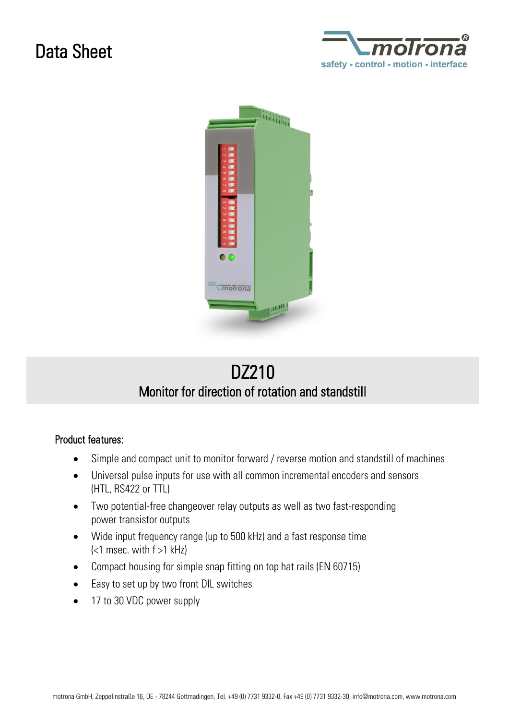## Data Sheet





## DZ210 Monitor for direction of rotation and standstill

## Product features:

- Simple and compact unit to monitor forward / reverse motion and standstill of machines
- Universal pulse inputs for use with all common incremental encoders and sensors (HTL, RS422 or TTL)
- Two potential-free changeover relay outputs as well as two fast-responding power transistor outputs
- Wide input frequency range (up to 500 kHz) and a fast response time  $\left($  <1 msec. with f >1 kHz)
- Compact housing for simple snap fitting on top hat rails (EN 60715)
- Easy to set up by two front DIL switches
- 17 to 30 VDC power supply